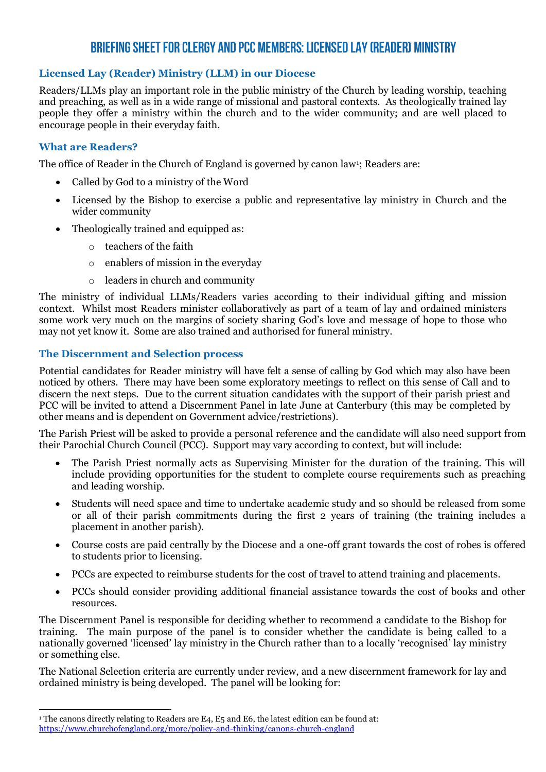# **BRIEFING SHEET FOR CLERGY AND PCC MEMBERS: LICENSED LAY (READER) MINISTRY**

## **Licensed Lay (Reader) Ministry (LLM) in our Diocese**

Readers/LLMs play an important role in the public ministry of the Church by leading worship, teaching and preaching, as well as in a wide range of missional and pastoral contexts. As theologically trained lay people they offer a ministry within the church and to the wider community; and are well placed to encourage people in their everyday faith.

### **What are Readers?**

The office of Reader in the Church of England is governed by canon law<sup>1</sup>; Readers are:

- Called by God to a ministry of the Word
- Licensed by the Bishop to exercise a public and representative lay ministry in Church and the wider community
- Theologically trained and equipped as:
	- o teachers of the faith
	- o enablers of mission in the everyday
	- o leaders in church and community

The ministry of individual LLMs/Readers varies according to their individual gifting and mission context. Whilst most Readers minister collaboratively as part of a team of lay and ordained ministers some work very much on the margins of society sharing God's love and message of hope to those who may not yet know it. Some are also trained and authorised for funeral ministry.

#### **The Discernment and Selection process**

Potential candidates for Reader ministry will have felt a sense of calling by God which may also have been noticed by others. There may have been some exploratory meetings to reflect on this sense of Call and to discern the next steps. Due to the current situation candidates with the support of their parish priest and PCC will be invited to attend a Discernment Panel in late June at Canterbury (this may be completed by other means and is dependent on Government advice/restrictions).

The Parish Priest will be asked to provide a personal reference and the candidate will also need support from their Parochial Church Council (PCC). Support may vary according to context, but will include:

- The Parish Priest normally acts as Supervising Minister for the duration of the training. This will include providing opportunities for the student to complete course requirements such as preaching and leading worship.
- Students will need space and time to undertake academic study and so should be released from some or all of their parish commitments during the first 2 years of training (the training includes a placement in another parish).
- Course costs are paid centrally by the Diocese and a one-off grant towards the cost of robes is offered to students prior to licensing.
- PCCs are expected to reimburse students for the cost of travel to attend training and placements.
- PCCs should consider providing additional financial assistance towards the cost of books and other resources.

The Discernment Panel is responsible for deciding whether to recommend a candidate to the Bishop for training. The main purpose of the panel is to consider whether the candidate is being called to a nationally governed 'licensed' lay ministry in the Church rather than to a locally 'recognised' lay ministry or something else.

The National Selection criteria are currently under review, and a new discernment framework for lay and ordained ministry is being developed. The panel will be looking for:

<sup>&</sup>lt;sup>1</sup> The canons directly relating to Readers are E4, E5 and E6, the latest edition can be found at: <https://www.churchofengland.org/more/policy-and-thinking/canons-church-england>